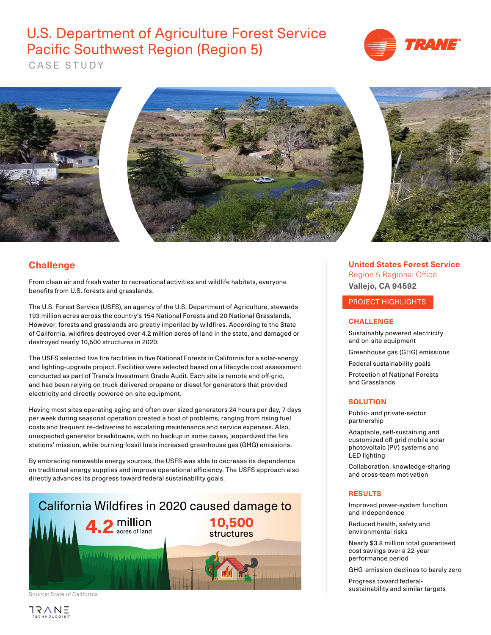

CASE STUDY



### **Challenge**

From clean air and fresh water to recreational activities and wildlife habitats, everyone benefits from U.S. forests and grasslands.

The U.S. Forest Service (USFS), an agency of the U.S. Department of Agriculture, stewards 193 million acres across the country's 154 National Forests and 20 National Grasslands. However, forests and grasslands are greatly imperiled by wildfires. According to the State of California, wildfires destroyed over 4.2 million acres of land in the state, and damaged or destroyed nearly 10,500 structures in 2020.

The USFS selected five fire facilities in five National Forests in California for a solar-energy and lighting-upgrade project. Facilities were selected based on a lifecycle cost assessment conducted as part of Trane's Investment Grade Audit. Each site is remote and off-grid, and had been relying on truck-delivered propane or diesel for generators that provided electricity and directly powered on-site equipment.

Having most sites operating aging and often over-sized generators 24 hours per day, 7 days per week during seasonal operation created a host of problems, ranging from rising fuel costs and frequent re-deliveries to escalating maintenance and service expenses. Also, unexpected generator breakdowns, with no backup in some cases, jeopardized the fire stations' mission, while burning fossil fuels increased greenhouse gas (GHG) emissions.

By embracing renewable energy sources, the USFS was able to decrease its dependence on traditional energy supplies and improve operational efficiency. The USFS approach also directly advances its progress toward federal sustainability goals.



Source: State of California



**United States Forest Service** Region 5 Regional Office **Vallejo, CA 94592** 

### PROJECT HIGHLIGHTS

### **CHALLENGE**

Sustainably powered electricity and on-site equipment

Greenhouse gas (GHG) emissions

Federal sustainability goals

Protection of National Forests and Grasslands

### **SOLUTION**

Public- and private-sector partnership

Adaptable, self-sustaining and customized off-grid mobile solar photovoltaic (PV) systems and LED lighting

Collaboration, knowledge-sharing and cross-team motivation

### **RESULTS**

Improved power-system function and independence

Reduced health, safety and environmental risks

Nearly \$3.8 million total guaranteed cost savings over a 22-year performance period

GHG-emission declines to barely zero

Progress toward federalsustainability and similar targets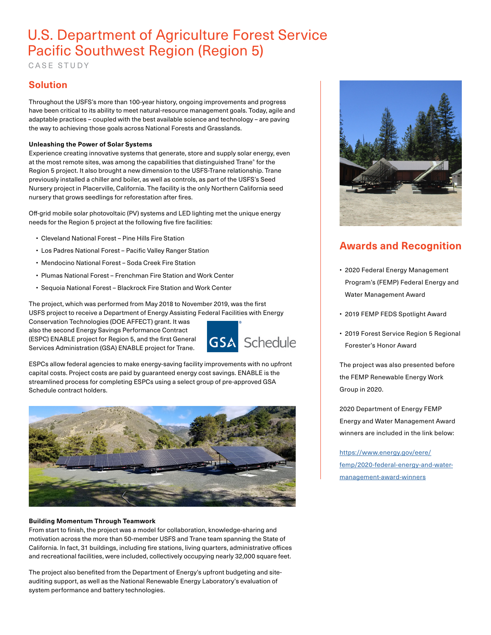CASE STUDY

### **Solution**

Throughout the USFS's more than 100-year history, ongoing improvements and progress have been critical to its ability to meet natural-resource management goals. Today, agile and adaptable practices – coupled with the best available science and technology – are paving the way to achieving those goals across National Forests and Grasslands.

### **Unleashing the Power of Solar Systems**

Experience creating innovative systems that generate, store and supply solar energy, even at the most remote sites, was among the capabilities that distinguished Trane® for the Region 5 project. It also brought a new dimension to the USFS-Trane relationship. Trane previously installed a chiller and boiler, as well as controls, as part of the USFS's Seed Nursery project in Placerville, California. The facility is the only Northern California seed nursery that grows seedlings for reforestation after fires.

Off-grid mobile solar photovoltaic (PV) systems and LED lighting met the unique energy needs for the Region 5 project at the following five fire facilities:

- Cleveland National Forest Pine Hills Fire Station
- Los Padres National Forest Pacific Valley Ranger Station
- Mendocino National Forest Soda Creek Fire Station
- Plumas National Forest Frenchman Fire Station and Work Center
- Sequoia National Forest Blackrock Fire Station and Work Center

The project, which was performed from May 2018 to November 2019, was the first USFS project to receive a Department of Energy Assisting Federal Facilities with Energy

Conservation Technologies (DOE AFFECT) grant. It was also the second Energy Savings Performance Contract (ESPC) ENABLE project for Region 5, and the first General Services Administration (GSA) ENABLE project for Trane.



ESPCs allow federal agencies to make energy-saving facility improvements with no upfront capital costs. Project costs are paid by guaranteed energy cost savings. ENABLE is the streamlined process for completing ESPCs using a select group of pre-approved GSA Schedule contract holders.



### **Building Momentum Through Teamwork**

From start to finish, the project was a model for collaboration, knowledge-sharing and motivation across the more than 50-member USFS and Trane team spanning the State of California. In fact, 31 buildings, including fire stations, living quarters, administrative offices and recreational facilities, were included, collectively occupying nearly 32,000 square feet.

The project also benefited from the Department of Energy's upfront budgeting and siteauditing support, as well as the National Renewable Energy Laboratory's evaluation of system performance and battery technologies.



## **Awards and Recognition**

- 2020 Federal Energy Management Program's (FEMP) Federal Energy and Water Management Award
- 2019 FEMP FEDS Spotlight Award
- 2019 Forest Service Region 5 Regional Forester's Honor Award

The project was also presented before the FEMP Renewable Energy Work Group in 2020.

2020 Department of Energy FEMP Energy and Water Management Award winners are included in the link below:

[https://www.energy.gov/eere/](https://www.energy.gov/eere/femp/2020-federal-energy-and-water-management-award-winners) [femp/2020-federal-energy-and-water](https://www.energy.gov/eere/femp/2020-federal-energy-and-water-management-award-winners)[management-award-winners](https://www.energy.gov/eere/femp/2020-federal-energy-and-water-management-award-winners)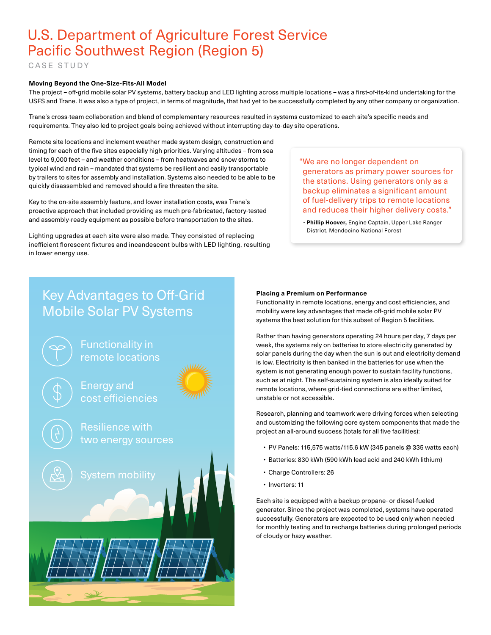CASE STUDY

#### **Moving Beyond the One-Size-Fits-All Model**

The project – off-grid mobile solar PV systems, battery backup and LED lighting across multiple locations – was a first-of-its-kind undertaking for the USFS and Trane. It was also a type of project, in terms of magnitude, that had yet to be successfully completed by any other company or organization.

Trane's cross-team collaboration and blend of complementary resources resulted in systems customized to each site's specific needs and requirements. They also led to project goals being achieved without interrupting day-to-day site operations.

Remote site locations and inclement weather made system design, construction and timing for each of the five sites especially high priorities. Varying altitudes – from sea level to 9,000 feet – and weather conditions – from heatwaves and snow storms to typical wind and rain – mandated that systems be resilient and easily transportable by trailers to sites for assembly and installation. Systems also needed to be able to be quickly disassembled and removed should a fire threaten the site.

Key to the on-site assembly feature, and lower installation costs, was Trane's proactive approach that included providing as much pre-fabricated, factory-tested and assembly-ready equipment as possible before transportation to the sites.

Lighting upgrades at each site were also made. They consisted of replacing inefficient florescent fixtures and incandescent bulbs with LED lighting, resulting in lower energy use.

"We are no longer dependent on generators as primary power sources for the stations. Using generators only as a backup eliminates a significant amount of fuel-delivery trips to remote locations and reduces their higher delivery costs."

 **- Phillip Hoover,** Engine Captain, Upper Lake Ranger District, Mendocino National Forest

## Key Advantages to Off-Grid Mobile Solar PV Systems



#### **Placing a Premium on Performance**

Functionality in remote locations, energy and cost efficiencies, and mobility were key advantages that made off-grid mobile solar PV systems the best solution for this subset of Region 5 facilities.

Rather than having generators operating 24 hours per day, 7 days per week, the systems rely on batteries to store electricity generated by solar panels during the day when the sun is out and electricity demand is low. Electricity is then banked in the batteries for use when the system is not generating enough power to sustain facility functions, such as at night. The self-sustaining system is also ideally suited for remote locations, where grid-tied connections are either limited, unstable or not accessible.

Research, planning and teamwork were driving forces when selecting and customizing the following core system components that made the project an all-around success (totals for all five facilities):

- PV Panels: 115,575 watts/115.6 kW (345 panels @ 335 watts each)
- Batteries: 830 kWh (590 kWh lead acid and 240 kWh lithium)
- Charge Controllers: 26
- Inverters: 11

Each site is equipped with a backup propane- or diesel-fueled generator. Since the project was completed, systems have operated successfully. Generators are expected to be used only when needed for monthly testing and to recharge batteries during prolonged periods of cloudy or hazy weather.